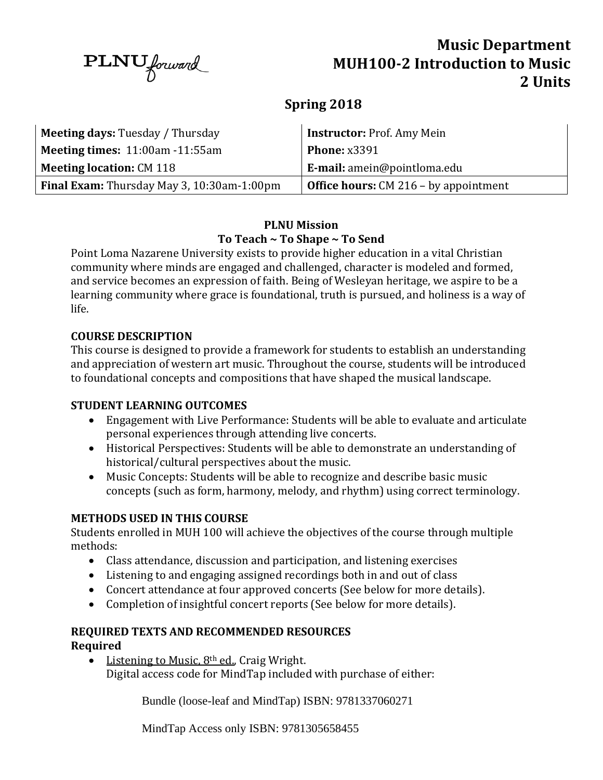$\text{PLNU}_{forward}$ 

# **Music Department MUH100-2 Introduction to Music 2 Units**

## **Spring 2018**

| <b>Meeting days: Tuesday / Thursday</b>      | Instructor: Prof. Amy Mein                     |  |
|----------------------------------------------|------------------------------------------------|--|
| <b>Meeting times:</b> $11:00$ am $-11:55$ am | <b>Phone: x3391</b>                            |  |
| <b>Meeting location: CM 118</b>              | <b>E-mail:</b> amein@pointloma.edu             |  |
| Final Exam: Thursday May 3, 10:30am-1:00pm   | <b>Office hours:</b> $CM 216 - by a pointment$ |  |

### **PLNU Mission To Teach ~ To Shape ~ To Send**

Point Loma Nazarene University exists to provide higher education in a vital Christian community where minds are engaged and challenged, character is modeled and formed, and service becomes an expression of faith. Being of Wesleyan heritage, we aspire to be a learning community where grace is foundational, truth is pursued, and holiness is a way of life.

#### **COURSE DESCRIPTION**

This course is designed to provide a framework for students to establish an understanding and appreciation of western art music. Throughout the course, students will be introduced to foundational concepts and compositions that have shaped the musical landscape.

### **STUDENT LEARNING OUTCOMES**

- Engagement with Live Performance: Students will be able to evaluate and articulate personal experiences through attending live concerts.
- Historical Perspectives: Students will be able to demonstrate an understanding of historical/cultural perspectives about the music.
- Music Concepts: Students will be able to recognize and describe basic music concepts (such as form, harmony, melody, and rhythm) using correct terminology.

### **METHODS USED IN THIS COURSE**

Students enrolled in MUH 100 will achieve the objectives of the course through multiple methods:

- Class attendance, discussion and participation, and listening exercises
- Listening to and engaging assigned recordings both in and out of class
- Concert attendance at four approved concerts (See below for more details).
- Completion of insightful concert reports (See below for more details).

#### **REQUIRED TEXTS AND RECOMMENDED RESOURCES Required**

 $\bullet$  Listening to Music, 8<sup>th</sup> ed., Craig Wright. Digital access code for MindTap included with purchase of either:

Bundle (loose-leaf and MindTap) ISBN: 9781337060271

MindTap Access only ISBN: 9781305658455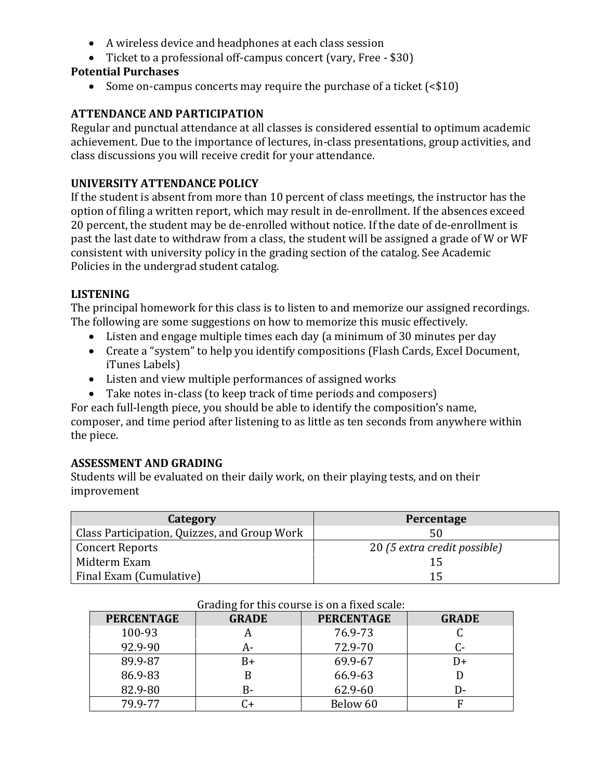- A wireless device and headphones at each class session
- Ticket to a professional off-campus concert (vary, Free \$30)

#### **Potential Purchases**

• Some on-campus concerts may require the purchase of a ticket (<\$10)

#### **ATTENDANCE AND PARTICIPATION**

Regular and punctual attendance at all classes is considered essential to optimum academic achievement. Due to the importance of lectures, in-class presentations, group activities, and class discussions you will receive credit for your attendance.

#### **UNIVERSITY ATTENDANCE POLICY**

If the student is absent from more than 10 percent of class meetings, the instructor has the option of filing a written report, which may result in de‐enrollment. If the absences exceed 20 percent, the student may be de-enrolled without notice. If the date of de-enrollment is past the last date to withdraw from a class, the student will be assigned a grade of W or WF consistent with university policy in the grading section of the catalog. See Academic Policies in the undergrad student catalog.

#### **LISTENING**

The principal homework for this class is to listen to and memorize our assigned recordings. The following are some suggestions on how to memorize this music effectively.

- Listen and engage multiple times each day (a minimum of 30 minutes per day
- Create a "system" to help you identify compositions (Flash Cards, Excel Document, iTunes Labels)
- Listen and view multiple performances of assigned works
- Take notes in-class (to keep track of time periods and composers)

For each full-length piece, you should be able to identify the composition's name, composer, and time period after listening to as little as ten seconds from anywhere within the piece.

#### **ASSESSMENT AND GRADING**

Students will be evaluated on their daily work, on their playing tests, and on their improvement

| Category                                     | Percentage                   |  |
|----------------------------------------------|------------------------------|--|
| Class Participation, Quizzes, and Group Work | 50                           |  |
| Concert Reports                              | 20 (5 extra credit possible) |  |
| Midterm Exam                                 |                              |  |
| Final Exam (Cumulative)                      | 15                           |  |

| <b>PERCENTAGE</b> | <b>GRADE</b>         | <b>PERCENTAGE</b> | <b>GRADE</b> |
|-------------------|----------------------|-------------------|--------------|
| 100-93            |                      | 76.9-73           |              |
| 92.9-90           | А-                   | 72.9-70           |              |
| 89.9-87           | B+                   | 69.9-67           | $D+$         |
| 86.9-83           |                      | 66.9-63           |              |
| 82.9-80           | B-                   | 62.9-60           | D-           |
| 79.9-77           | $\mathsf{C}\text{+}$ | Below 60          |              |

#### Grading for this course is on a fixed scale: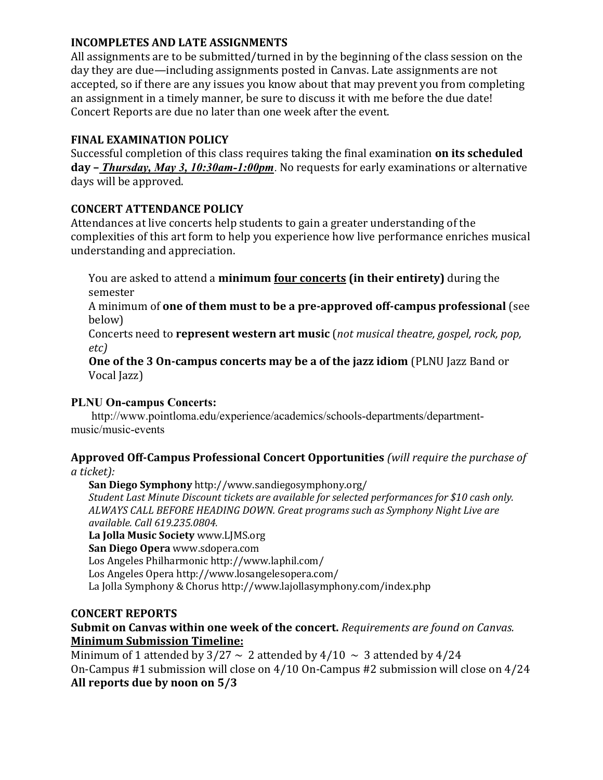#### **INCOMPLETES AND LATE ASSIGNMENTS**

All assignments are to be submitted/turned in by the beginning of the class session on the day they are due—including assignments posted in Canvas. Late assignments are not accepted, so if there are any issues you know about that may prevent you from completing an assignment in a timely manner, be sure to discuss it with me before the due date! Concert Reports are due no later than one week after the event.

### **FINAL EXAMINATION POLICY**

Successful completion of this class requires taking the final examination **on its scheduled day –** *Thursday, May 3, 10:30am-1:00pm*. No requests for early examinations or alternative days will be approved.

### **CONCERT ATTENDANCE POLICY**

Attendances at live concerts help students to gain a greater understanding of the complexities of this art form to help you experience how live performance enriches musical understanding and appreciation.

You are asked to attend a **minimum four concerts (in their entirety)** during the semester

A minimum of **one of them must to be a pre-approved off-campus professional** (see below)

Concerts need to **represent western art music** (*not musical theatre, gospel, rock, pop, etc)*

**One of the 3 On-campus concerts may be a of the jazz idiom** (PLNU Jazz Band or Vocal Jazz)

### **PLNU On-campus Concerts:**

[http://www.pointloma.edu/experience/academics/schools-departments/department](http://www.pointloma.edu/experience/academics/schools-departments/department-music/music-events)[music/music-events](http://www.pointloma.edu/experience/academics/schools-departments/department-music/music-events)

#### **Approved Off‐Campus Professional Concert Opportunities** *(will require the purchase of a ticket):*

**San Diego Symphony** <http://www.sandiegosymphony.org/> *Student Last Minute Discount tickets are available for selected performances for \$10 cash only. ALWAYS CALL BEFORE HEADING DOWN. Great programs such as Symphony Night Live are available. Call 619.235.0804.* **La Jolla Music Society** www.LJMS.org **San Diego Opera** www.sdopera.com Los Angeles Philharmonic<http://www.laphil.com/>

Los Angeles Opera<http://www.losangelesopera.com/>

La Jolla Symphony & Chorus<http://www.lajollasymphony.com/index.php>

### **CONCERT REPORTS**

### **Submit on Canvas within one week of the concert.** *Requirements are found on Canvas.*  **Minimum Submission Timeline:**

Minimum of 1 attended by  $3/27 \sim 2$  attended by  $4/10 \sim 3$  attended by  $4/24$ On-Campus #1 submission will close on 4/10 On-Campus #2 submission will close on 4/24 **All reports due by noon on 5/3**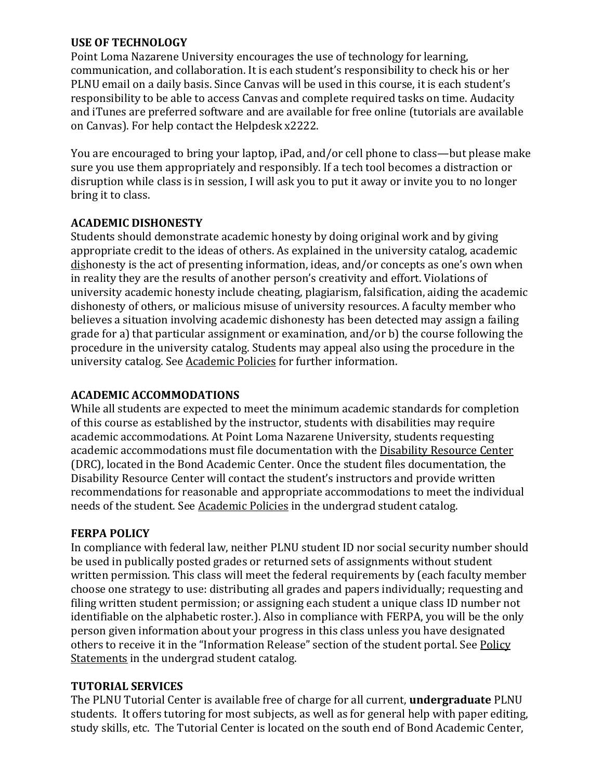#### **USE OF TECHNOLOGY**

Point Loma Nazarene University encourages the use of technology for learning, communication, and collaboration. It is each student's responsibility to check his or her PLNU email on a daily basis. Since Canvas will be used in this course, it is each student's responsibility to be able to access Canvas and complete required tasks on time. Audacity and iTunes are preferred software and are available for free online (tutorials are available on Canvas). For help contact the Helpdesk x2222.

You are encouraged to bring your laptop, iPad, and/or cell phone to class—but please make sure you use them appropriately and responsibly. If a tech tool becomes a distraction or disruption while class is in session, I will ask you to put it away or invite you to no longer bring it to class.

### **ACADEMIC DISHONESTY**

Students should demonstrate academic honesty by doing original work and by giving appropriate credit to the ideas of others. As explained in the university catalog, academic dishonesty is the act of presenting information, ideas, and/or concepts as one's own when in reality they are the results of another person's creativity and effort. Violations of university academic honesty include cheating, plagiarism, falsification, aiding the academic dishonesty of others, or malicious misuse of university resources. A faculty member who believes a situation involving academic dishonesty has been detected may assign a failing grade for a) that particular assignment or examination, and/or b) the course following the procedure in the university catalog. Students may appeal also using the procedure in the university catalog. See [Academic Policies](http://www.pointloma.edu/experience/academics/catalogs/undergraduate-catalog/point-loma-education/academic-policies) for further information.

### **ACADEMIC ACCOMMODATIONS**

While all students are expected to meet the minimum academic standards for completion of this course as established by the instructor, students with disabilities may require academic accommodations. At Point Loma Nazarene University, students requesting academic accommodations must file documentation with the [Disability Resource Center](http://www.pointloma.edu/experience/offices/administrative-offices/academic-advising-office/disability-resource-center) (DRC), located in the Bond Academic Center. Once the student files documentation, the Disability Resource Center will contact the student's instructors and provide written recommendations for reasonable and appropriate accommodations to meet the individual needs of the student. See [Academic Policies](http://www.pointloma.edu/experience/academics/catalogs/undergraduate-catalog/point-loma-education/academic-policies) in the undergrad student catalog.

### **FERPA POLICY**

In compliance with federal law, neither PLNU student ID nor social security number should be used in publically posted grades or returned sets of assignments without student written permission. This class will meet the federal requirements by (each faculty member choose one strategy to use: distributing all grades and papers individually; requesting and filing written student permission; or assigning each student a unique class ID number not identifiable on the alphabetic roster.). Also in compliance with FERPA, you will be the only person given information about your progress in this class unless you have designated others to receive it in the "Information Release" section of the student portal. See Policy [Statements](http://www.pointloma.edu/experience/academics/catalogs/undergraduate-catalog/policy-statements) in the undergrad student catalog.

### **TUTORIAL SERVICES**

The PLNU Tutorial Center is available free of charge for all current, **undergraduate** PLNU students. It offers tutoring for most subjects, as well as for general help with paper editing, study skills, etc. The Tutorial Center is located on the south end of Bond Academic Center,